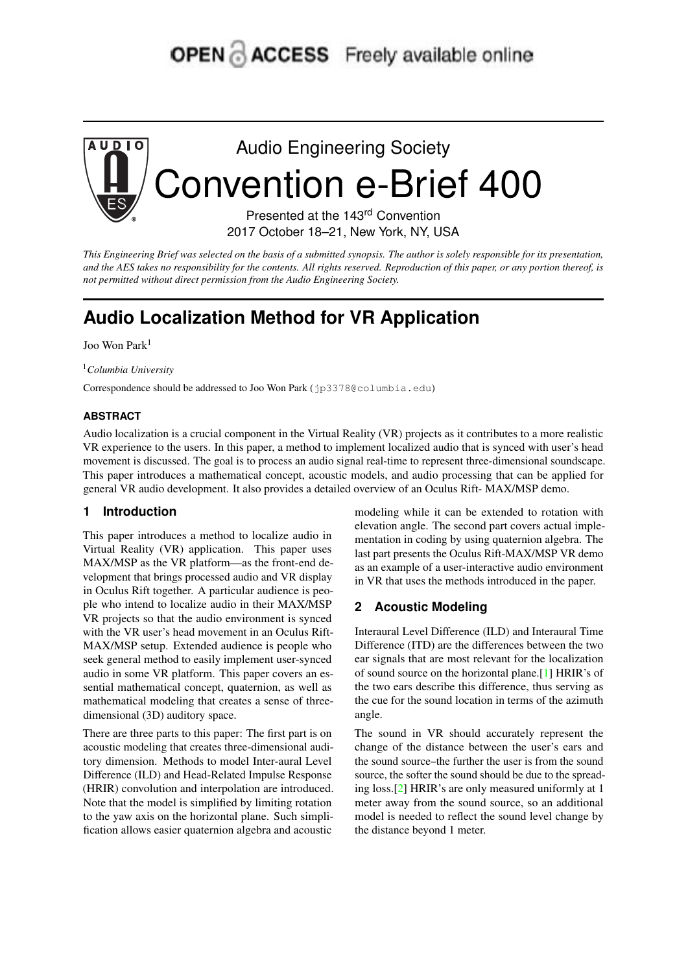# **OPEN ACCESS** Freely available online



*This Engineering Brief was selected on the basis of a submitted synopsis. The author is solely responsible for its presentation, and the AES takes no responsibility for the contents. All rights reserved. Reproduction of this paper, or any portion thereof, is not permitted without direct permission from the Audio Engineering Society.*

# **Audio Localization Method for VR Application**

Joo Won Park<sup>1</sup>

<sup>1</sup>*Columbia University*

Correspondence should be addressed to Joo Won Park (jp3378@columbia.edu)

#### **ABSTRACT**

Audio localization is a crucial component in the Virtual Reality (VR) projects as it contributes to a more realistic VR experience to the users. In this paper, a method to implement localized audio that is synced with user's head movement is discussed. The goal is to process an audio signal real-time to represent three-dimensional soundscape. This paper introduces a mathematical concept, acoustic models, and audio processing that can be applied for general VR audio development. It also provides a detailed overview of an Oculus Rift- MAX/MSP demo.

## **1 Introduction**

This paper introduces a method to localize audio in Virtual Reality (VR) application. This paper uses MAX/MSP as the VR platform—as the front-end development that brings processed audio and VR display in Oculus Rift together. A particular audience is people who intend to localize audio in their MAX/MSP VR projects so that the audio environment is synced with the VR user's head movement in an Oculus Rift-MAX/MSP setup. Extended audience is people who seek general method to easily implement user-synced audio in some VR platform. This paper covers an essential mathematical concept, quaternion, as well as mathematical modeling that creates a sense of threedimensional (3D) auditory space.

There are three parts to this paper: The first part is on acoustic modeling that creates three-dimensional auditory dimension. Methods to model Inter-aural Level Difference (ILD) and Head-Related Impulse Response (HRIR) convolution and interpolation are introduced. Note that the model is simplified by limiting rotation to the yaw axis on the horizontal plane. Such simplification allows easier quaternion algebra and acoustic

modeling while it can be extended to rotation with elevation angle. The second part covers actual implementation in coding by using quaternion algebra. The last part presents the Oculus Rift-MAX/MSP VR demo as an example of a user-interactive audio environment in VR that uses the methods introduced in the paper.

## **2 Acoustic Modeling**

Interaural Level Difference (ILD) and Interaural Time Difference (ITD) are the differences between the two ear signals that are most relevant for the localization of sound source on the horizontal plane.[\[1\]](#page-4-0) HRIR's of the two ears describe this difference, thus serving as the cue for the sound location in terms of the azimuth angle.

The sound in VR should accurately represent the change of the distance between the user's ears and the sound source–the further the user is from the sound source, the softer the sound should be due to the spreading loss.[\[2\]](#page-4-1) HRIR's are only measured uniformly at 1 meter away from the sound source, so an additional model is needed to reflect the sound level change by the distance beyond 1 meter.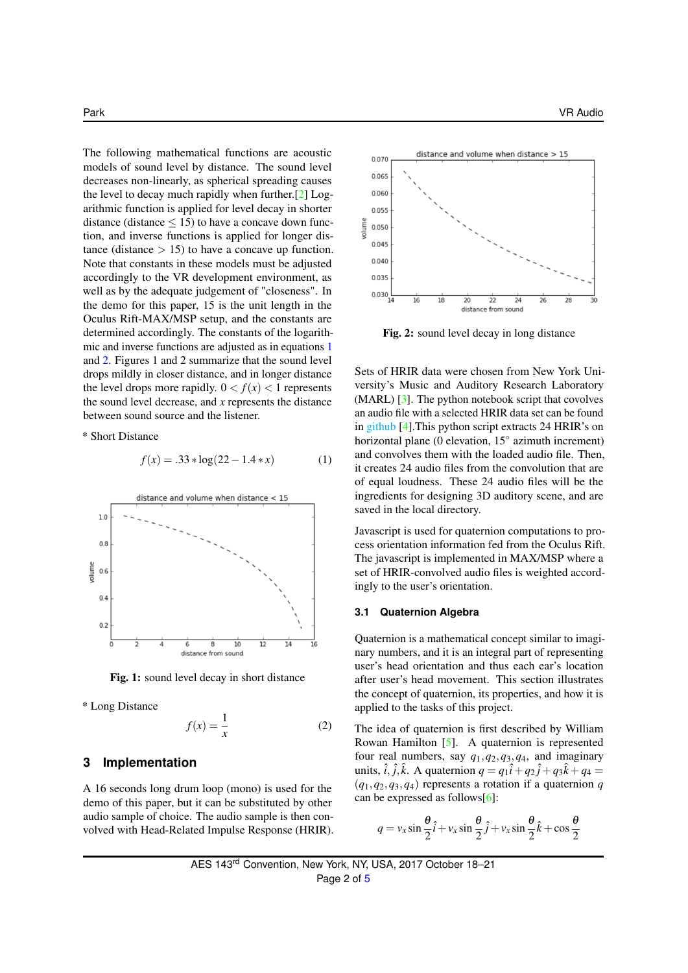The following mathematical functions are acoustic models of sound level by distance. The sound level decreases non-linearly, as spherical spreading causes the level to decay much rapidly when further.[\[2\]](#page-4-1) Logarithmic function is applied for level decay in shorter distance (distance  $\leq$  15) to have a concave down function, and inverse functions is applied for longer distance (distance  $> 15$ ) to have a concave up function. Note that constants in these models must be adjusted accordingly to the VR development environment, as well as by the adequate judgement of "closeness". In the demo for this paper, 15 is the unit length in the Oculus Rift-MAX/MSP setup, and the constants are determined accordingly. The constants of the logarithmic and inverse functions are adjusted as in equations [1](#page-1-0) and [2.](#page-1-1) Figures 1 and 2 summarize that the sound level drops mildly in closer distance, and in longer distance the level drops more rapidly.  $0 < f(x) < 1$  represents the sound level decrease, and *x* represents the distance between sound source and the listener.

\* Short Distance

<span id="page-1-0"></span>
$$
f(x) = .33 * log(22 – 1.4 * x)
$$
 (1)



Fig. 1: sound level decay in short distance

\* Long Distance

<span id="page-1-1"></span>
$$
f(x) = \frac{1}{x} \tag{2}
$$

#### **3 Implementation**

A 16 seconds long drum loop (mono) is used for the demo of this paper, but it can be substituted by other audio sample of choice. The audio sample is then convolved with Head-Related Impulse Response (HRIR).



Fig. 2: sound level decay in long distance

Sets of HRIR data were chosen from New York University's Music and Auditory Research Laboratory (MARL) [\[3\]](#page-4-2). The python notebook script that covolves an audio file with a selected HRIR data set can be found in [github](https://github.com/joowonpark/vraudio/blob/master/MARL_NYU_CONVOLUTION.ipynb) [\[4\]](#page-4-3).This python script extracts 24 HRIR's on horizontal plane (0 elevation, 15° azimuth increment) and convolves them with the loaded audio file. Then, it creates 24 audio files from the convolution that are of equal loudness. These 24 audio files will be the ingredients for designing 3D auditory scene, and are saved in the local directory.

Javascript is used for quaternion computations to process orientation information fed from the Oculus Rift. The javascript is implemented in MAX/MSP where a set of HRIR-convolved audio files is weighted accordingly to the user's orientation.

#### **3.1 Quaternion Algebra**

Quaternion is a mathematical concept similar to imaginary numbers, and it is an integral part of representing user's head orientation and thus each ear's location after user's head movement. This section illustrates the concept of quaternion, its properties, and how it is applied to the tasks of this project.

The idea of quaternion is first described by William Rowan Hamilton [\[5\]](#page-4-4). A quaternion is represented four real numbers, say  $q_1$ ,  $q_2$ ,  $q_3$ ,  $q_4$ , and imaginary units,  $\hat{i}$ ,  $\hat{j}$ ,  $\hat{k}$ . A quaternion  $q = q_1 \hat{i} + q_2 \hat{j} + q_3 \hat{k} + q_4 =$  $(q_1, q_2, q_3, q_4)$  represents a rotation if a quaternion *q* can be expressed as follows[\[6\]](#page-4-5):

$$
q = v_x \sin \frac{\theta}{2} \hat{i} + v_x \sin \frac{\theta}{2} \hat{j} + v_x \sin \frac{\theta}{2} \hat{k} + \cos \frac{\theta}{2}
$$

AES 143rd Convention, New York, NY, USA, 2017 October 18–21 Page 2 of [5](#page-4-6)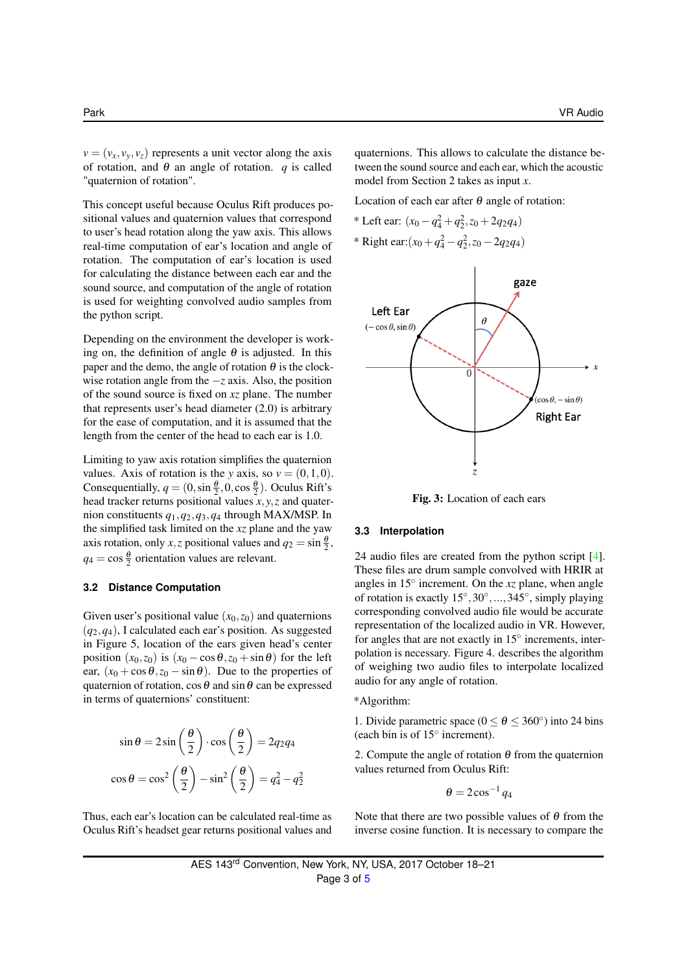$v = (v_x, v_y, v_z)$  represents a unit vector along the axis of rotation, and  $\theta$  an angle of rotation. *q* is called "quaternion of rotation".

This concept useful because Oculus Rift produces positional values and quaternion values that correspond to user's head rotation along the yaw axis. This allows real-time computation of ear's location and angle of rotation. The computation of ear's location is used for calculating the distance between each ear and the sound source, and computation of the angle of rotation is used for weighting convolved audio samples from the python script.

Depending on the environment the developer is working on, the definition of angle  $\theta$  is adjusted. In this paper and the demo, the angle of rotation  $\theta$  is the clockwise rotation angle from the −*z* axis. Also, the position of the sound source is fixed on *xz* plane. The number that represents user's head diameter (2.0) is arbitrary for the ease of computation, and it is assumed that the length from the center of the head to each ear is 1.0.

Limiting to yaw axis rotation simplifies the quaternion values. Axis of rotation is the *y* axis, so  $v = (0,1,0)$ . Consequentially,  $q = (0, \sin \frac{\theta}{2}, 0, \cos \frac{\theta}{2})$ . Oculus Rift's head tracker returns positional values  $\overline{x}$ ,  $y$ ,  $\overline{z}$  and quaternion constituents *q*1,*q*2,*q*3,*q*<sup>4</sup> through MAX/MSP. In the simplified task limited on the *xz* plane and the yaw axis rotation, only *x*,*z* positional values and  $q_2 = \sin \frac{\theta}{2}$ ,  $q_4 = \cos \frac{\theta}{2}$  orientation values are relevant.

#### **3.2 Distance Computation**

Given user's positional value  $(x_0, z_0)$  and quaternions (*q*2,*q*4), I calculated each ear's position. As suggested in Figure 5, location of the ears given head's center position  $(x_0, z_0)$  is  $(x_0 - \cos \theta, z_0 + \sin \theta)$  for the left ear,  $(x_0 + \cos \theta, z_0 - \sin \theta)$ . Due to the properties of quaternion of rotation,  $\cos\theta$  and  $\sin\theta$  can be expressed in terms of quaternions' constituent:

$$
\sin \theta = 2 \sin \left(\frac{\theta}{2}\right) \cdot \cos \left(\frac{\theta}{2}\right) = 2q_2 q_4
$$

$$
\cos \theta = \cos^2 \left(\frac{\theta}{2}\right) - \sin^2 \left(\frac{\theta}{2}\right) = q_4^2 - q_2^2
$$

Thus, each ear's location can be calculated real-time as Oculus Rift's headset gear returns positional values and

quaternions. This allows to calculate the distance between the sound source and each ear, which the acoustic model from Section 2 takes as input *x*.

Location of each ear after  $\theta$  angle of rotation:

\* Left ear:  $(x_0 - q_4^2 + q_2^2, z_0 + 2q_2q_4)$ \* Right ear: $(x_0 + q_4^2 - q_2^2, z_0 - 2q_2q_4)$ 



Fig. 3: Location of each ears

#### **3.3 Interpolation**

24 audio files are created from the python script [\[4\]](#page-4-3). These files are drum sample convolved with HRIR at angles in 15◦ increment. On the *xz* plane, when angle of rotation is exactly 15°, 30°, ..., 345°, simply playing corresponding convolved audio file would be accurate representation of the localized audio in VR. However, for angles that are not exactly in  $15^\circ$  increments, interpolation is necessary. Figure 4. describes the algorithm of weighing two audio files to interpolate localized audio for any angle of rotation.

\*Algorithm:

1. Divide parametric space ( $0 \le \theta \le 360^{\circ}$ ) into 24 bins (each bin is of 15◦ increment).

2. Compute the angle of rotation  $\theta$  from the quaternion values returned from Oculus Rift:

 $\theta = 2\cos^{-1} q_4$ 

Note that there are two possible values of  $\theta$  from the inverse cosine function. It is necessary to compare the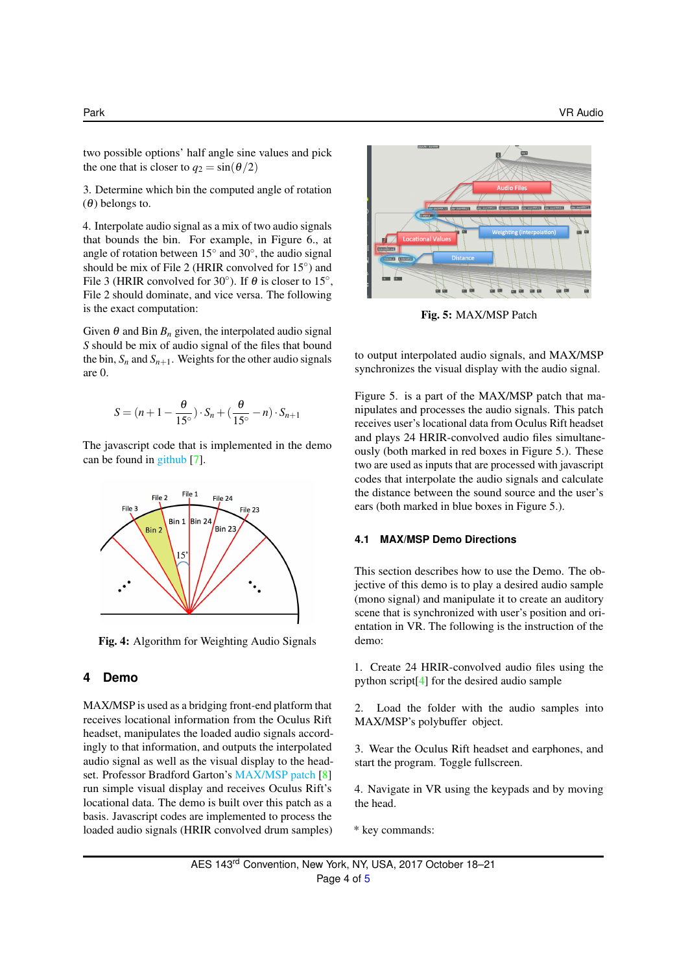two possible options' half angle sine values and pick the one that is closer to  $q_2 = \sin(\theta/2)$ 

3. Determine which bin the computed angle of rotation (θ) belongs to.

4. Interpolate audio signal as a mix of two audio signals that bounds the bin. For example, in Figure 6., at angle of rotation between  $15^\circ$  and  $30^\circ$ , the audio signal should be mix of File 2 (HRIR convolved for 15°) and File 3 (HRIR convolved for 30 $^{\circ}$ ). If  $\theta$  is closer to 15 $^{\circ}$ , File 2 should dominate, and vice versa. The following is the exact computation:

Given  $\theta$  and Bin  $B_n$  given, the interpolated audio signal *S* should be mix of audio signal of the files that bound the bin,  $S_n$  and  $S_{n+1}$ . Weights for the other audio signals are 0.

$$
S = (n+1-\frac{\theta}{15^{\circ}}) \cdot S_n + (\frac{\theta}{15^{\circ}} - n) \cdot S_{n+1}
$$

The javascript code that is implemented in the demo can be found in [github](https://github.com/joowonpark/vraudio/blob/master/weight.js) [\[7\]](#page-4-7).



Fig. 4: Algorithm for Weighting Audio Signals

#### **4 Demo**

MAX/MSP is used as a bridging front-end platform that receives locational information from the Oculus Rift headset, manipulates the loaded audio signals accordingly to that information, and outputs the interpolated audio signal as well as the visual display to the headset. Professor Bradford Garton's [MAX/MSP patch](http://cmc.music.columbia.edu/courses/g6611/spring2016/week11/index.html) [\[8\]](#page-4-8) run simple visual display and receives Oculus Rift's locational data. The demo is built over this patch as a basis. Javascript codes are implemented to process the loaded audio signals (HRIR convolved drum samples)



Fig. 5: MAX/MSP Patch

to output interpolated audio signals, and MAX/MSP synchronizes the visual display with the audio signal.

Figure 5. is a part of the MAX/MSP patch that manipulates and processes the audio signals. This patch receives user's locational data from Oculus Rift headset and plays 24 HRIR-convolved audio files simultaneously (both marked in red boxes in Figure 5.). These two are used as inputs that are processed with javascript codes that interpolate the audio signals and calculate the distance between the sound source and the user's ears (both marked in blue boxes in Figure 5.).

#### **4.1 MAX/MSP Demo Directions**

This section describes how to use the Demo. The objective of this demo is to play a desired audio sample (mono signal) and manipulate it to create an auditory scene that is synchronized with user's position and orientation in VR. The following is the instruction of the demo:

1. Create 24 HRIR-convolved audio files using the python script[\[4\]](#page-4-3) for the desired audio sample

2. Load the folder with the audio samples into MAX/MSP's polybuffer object.

3. Wear the Oculus Rift headset and earphones, and start the program. Toggle fullscreen.

4. Navigate in VR using the keypads and by moving the head.

\* key commands:

AES 143rd Convention, New York, NY, USA, 2017 October 18–21 Page 4 of [5](#page-4-6)